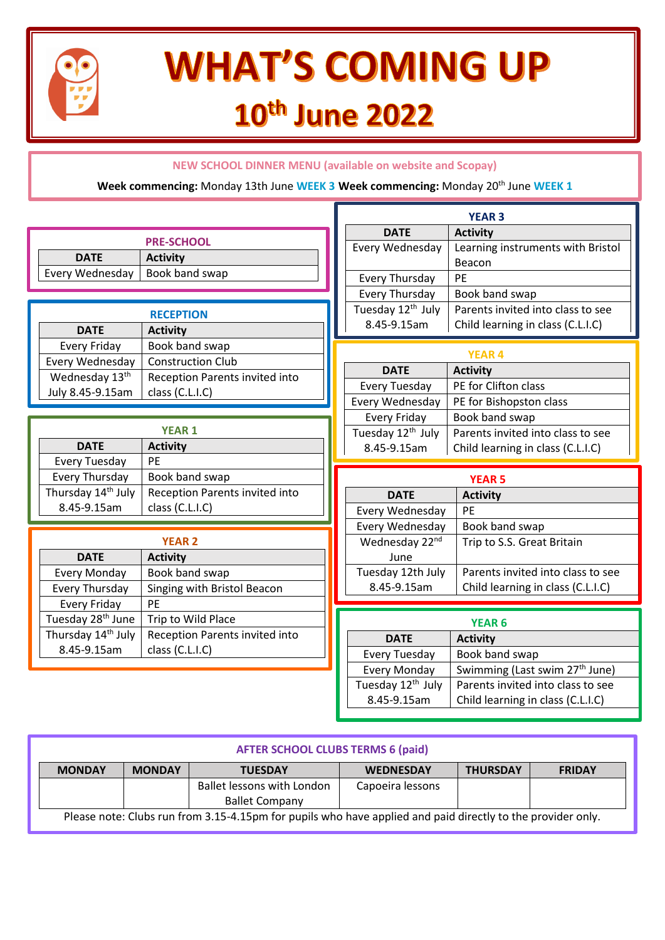

# **WHAT'S COMING UP** 10th June 2022

### **NEW SCHOOL DINNER MENU (available on website and Scopay)**

#### **Week commencing:** Monday 13th June **WEEK 3 Week commencing:** Monday 20th June **WEEK 1**

|                                                                  | <b>YEAR 3</b>                                        |                                                                                 |  |  |
|------------------------------------------------------------------|------------------------------------------------------|---------------------------------------------------------------------------------|--|--|
|                                                                  | <b>DATE</b>                                          | <b>Activity</b>                                                                 |  |  |
| <b>PRE-SCHOOL</b>                                                | Every Wednesday                                      | Learning instruments with Bristol                                               |  |  |
| <b>DATE</b><br><b>Activity</b>                                   |                                                      | Beacon                                                                          |  |  |
| Book band swap<br>Every Wednesday                                | <b>Every Thursday</b>                                | PE                                                                              |  |  |
|                                                                  | Every Thursday                                       | Book band swap                                                                  |  |  |
| <b>RECEPTION</b>                                                 | Tuesday 12 <sup>th</sup> July                        | Parents invited into class to see                                               |  |  |
| <b>DATE</b><br><b>Activity</b>                                   | 8.45-9.15am                                          | Child learning in class (C.L.I.C)                                               |  |  |
| Book band swap<br><b>Every Friday</b>                            |                                                      |                                                                                 |  |  |
| <b>Construction Club</b><br>Every Wednesday                      | <b>YEAR 4</b>                                        |                                                                                 |  |  |
| Wednesday 13 <sup>th</sup><br>Reception Parents invited into     | <b>DATE</b>                                          | <b>Activity</b>                                                                 |  |  |
| July 8.45-9.15am<br>class (C.L.I.C)                              | <b>Every Tuesday</b>                                 | PE for Clifton class                                                            |  |  |
|                                                                  | Every Wednesday                                      | PE for Bishopston class                                                         |  |  |
|                                                                  | <b>Every Friday</b>                                  | Book band swap                                                                  |  |  |
| <b>YEAR 1</b>                                                    | Tuesday 12 <sup>th</sup> July                        | Parents invited into class to see                                               |  |  |
|                                                                  |                                                      |                                                                                 |  |  |
| <b>DATE</b><br><b>Activity</b>                                   | 8.45-9.15am                                          | Child learning in class (C.L.I.C)                                               |  |  |
| <b>Every Tuesday</b><br>PE                                       |                                                      |                                                                                 |  |  |
| Book band swap<br>Every Thursday                                 |                                                      | <b>YEAR 5</b>                                                                   |  |  |
| Thursday 14 <sup>th</sup> July<br>Reception Parents invited into | <b>DATE</b>                                          | <b>Activity</b>                                                                 |  |  |
| 8.45-9.15am<br>class (C.L.I.C)                                   | Every Wednesday                                      | PE                                                                              |  |  |
|                                                                  | Every Wednesday                                      | Book band swap                                                                  |  |  |
| <b>YEAR 2</b>                                                    | Wednesday 22nd                                       | Trip to S.S. Great Britain                                                      |  |  |
| <b>DATE</b><br><b>Activity</b>                                   | June                                                 |                                                                                 |  |  |
| <b>Every Monday</b><br>Book band swap                            | Tuesday 12th July                                    | Parents invited into class to see                                               |  |  |
| Singing with Bristol Beacon<br>Every Thursday                    | 8.45-9.15am                                          | Child learning in class (C.L.I.C)                                               |  |  |
| <b>Every Friday</b><br>PE                                        |                                                      |                                                                                 |  |  |
| Tuesday 28 <sup>th</sup> June<br>Trip to Wild Place              |                                                      | <b>YEAR 6</b>                                                                   |  |  |
| Thursday 14th July<br>Reception Parents invited into             | <b>DATE</b>                                          |                                                                                 |  |  |
| class (C.L.I.C)<br>8.45-9.15am                                   |                                                      | <b>Activity</b>                                                                 |  |  |
|                                                                  | <b>Every Tuesday</b>                                 | Book band swap                                                                  |  |  |
|                                                                  | <b>Every Monday</b><br>Tuesday 12 <sup>th</sup> July | Swimming (Last swim 27 <sup>th</sup> June)<br>Parents invited into class to see |  |  |

| <b>MONDAY</b> | <b>MONDAY</b> | <b>TUESDAY</b>             | <b>WEDNESDAY</b> | <b>THURSDAY</b> | <b>FRIDAY</b> |
|---------------|---------------|----------------------------|------------------|-----------------|---------------|
|               |               | Ballet lessons with London | Capoeira lessons |                 |               |
|               |               | <b>Ballet Company</b>      |                  |                 |               |